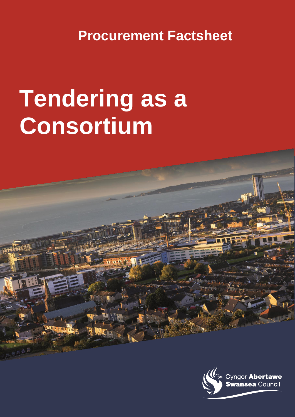**Procurement Factsheet**

# **Tendering as a Consortium**

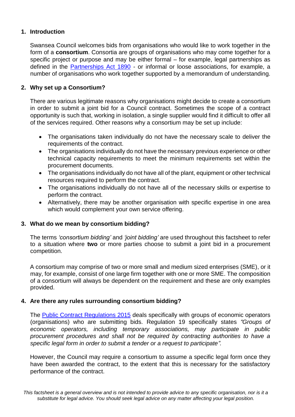## **1. Introduction**

Swansea Council welcomes bids from organisations who would like to work together in the form of a **consortium**. Consortia are groups of organisations who may come together for a specific project or purpose and may be either formal – for example, legal partnerships as defined in the [Partnerships Act 1890](http://www.legislation.gov.uk/ukpga/1890/39/pdfs/ukpga_18900039_en.pdf) [-](http://www.legislation.gov.uk/ukpga/Vict/53-54/39/contents) [or informal or loo](http://www.legislation.gov.uk/ukpga/Vict/53-54/39/contents)se associations, for example, a number of organisations who work together supported by a memorandum of understanding.

## **2. Why set up a Consortium?**

There are various legitimate reasons why organisations might decide to create a consortium in order to submit a joint bid for a Council contract. Sometimes the scope of a contract opportunity is such that, working in isolation, a single supplier would find it difficult to offer all of the services required. Other reasons why a consortium may be set up include:

- The organisations taken individually do not have the necessary scale to deliver the requirements of the contract.
- The organisations individually do not have the necessary previous experience or other technical capacity requirements to meet the minimum requirements set within the procurement documents.
- The organisations individually do not have all of the plant, equipment or other technical resources required to perform the contract.
- The organisations individually do not have all of the necessary skills or expertise to perform the contract.
- Alternatively, there may be another organisation with specific expertise in one area which would complement your own service offering.

#### **3. What do we mean by consortium bidding?**

The terms *'consortium bidding'* and *'joint bidding'* are used throughout this factsheet to refer to a situation where **two** or more parties choose to submit a joint bid in a procurement competition.

A consortium may comprise of two or more small and medium sized enterprises (SME), or it may, for example, consist of one large firm together with one or more SME. The composition of a consortium will always be dependent on the requirement and these are only examples provided.

#### **4. Are there any rules surrounding consortium bidding?**

The [Public Contract Regulations 2015](http://www.legislation.gov.uk/uksi/2015/102/contents/made) deals specifically with groups of economic operators (organisations) who are submitting bids. Regulation 19 specifically states *"Groups of economic operators, including temporary associations, may participate in public procurement procedures and shall not be required by contracting authorities to have a specific legal form in order to submit a tender or a request to participate".*

However, the Council may require a consortium to assume a specific legal form once they have been awarded the contract, to the extent that this is necessary for the satisfactory performance of the contract.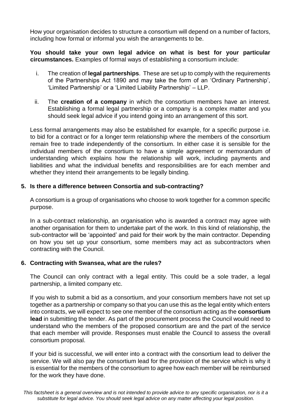How your organisation decides to structure a consortium will depend on a number of factors, including how formal or informal you wish the arrangements to be.

**You should take your own legal advice on what is best for your particular circumstances.** Examples of formal ways of establishing a consortium include:

- i. The creation of **legal partnerships**. These are set up to comply with the requirements of the Partnerships Act 1890 and may take the form of an 'Ordinary Partnership', 'Limited Partnership' or a 'Limited Liability Partnership' – LLP.
- ii. The **creation of a company** in which the consortium members have an interest. Establishing a formal legal partnership or a company is a complex matter and you should seek legal advice if you intend going into an arrangement of this sort.

Less formal arrangements may also be established for example, for a specific purpose i.e. to bid for a contract or for a longer term relationship where the members of the consortium remain free to trade independently of the consortium. In either case it is sensible for the individual members of the consortium to have a simple agreement or memorandum of understanding which explains how the relationship will work, including payments and liabilities and what the individual benefits and responsibilities are for each member and whether they intend their arrangements to be legally binding.

# **5. Is there a difference between Consortia and sub-contracting?**

A consortium is a group of organisations who choose to work together for a common specific purpose.

In a sub-contract relationship, an organisation who is awarded a contract may agree with another organisation for them to undertake part of the work. In this kind of relationship, the sub-contractor will be 'appointed' and paid for their work by the main contractor. Depending on how you set up your consortium, some members may act as subcontractors when contracting with the Council.

#### **6. Contracting with Swansea, what are the rules?**

The Council can only contract with a legal entity. This could be a sole trader, a legal partnership, a limited company etc.

If you wish to submit a bid as a consortium, and your consortium members have not set up together as a partnership or company so that you can use this as the legal entity which enters into contracts, we will expect to see one member of the consortium acting as the **consortium lead** in submitting the tender. As part of the procurement process the Council would need to understand who the members of the proposed consortium are and the part of the service that each member will provide. Responses must enable the Council to assess the overall consortium proposal.

If your bid is successful, we will enter into a contract with the consortium lead to deliver the service. We will also pay the consortium lead for the provision of the service which is why it is essential for the members of the consortium to agree how each member will be reimbursed for the work they have done.